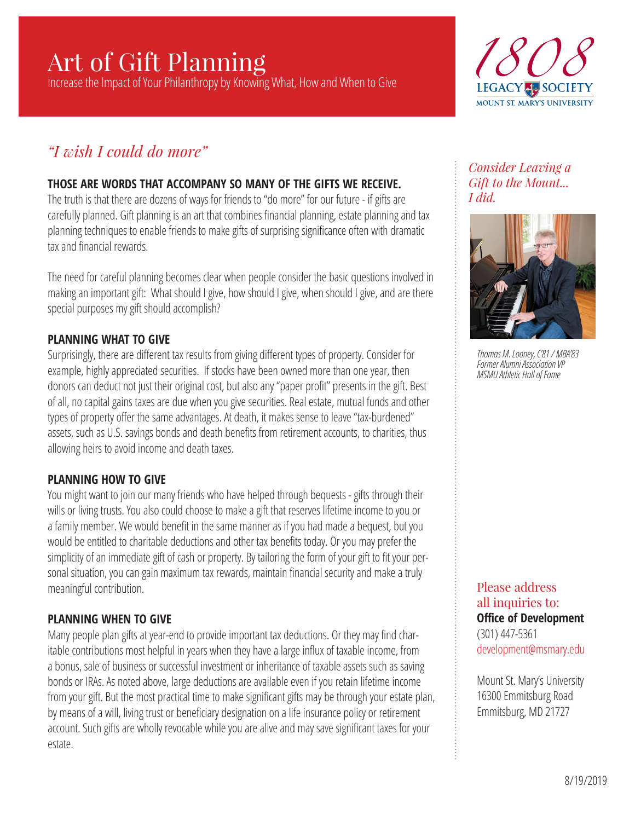# Art of Gift Planning

Increase the Impact of Your Philanthropy by Knowing What, How and When to Give



# *"I wish I could do more"*

# **THOSE ARE WORDS THAT ACCOMPANY SO MANY OF THE GIFTS WE RECEIVE.**

The truth is that there are dozens of ways for friends to "do more" for our future - if gifts are carefully planned. Gift planning is an art that combines financial planning, estate planning and tax planning techniques to enable friends to make gifts of surprising significance often with dramatic tax and financial rewards.

The need for careful planning becomes clear when people consider the basic questions involved in making an important gift: What should I give, how should I give, when should I give, and are there special purposes my gift should accomplish?

#### **PLANNING WHAT TO GIVE**

Surprisingly, there are different tax results from giving different types of property. Consider for example, highly appreciated securities. If stocks have been owned more than one year, then donors can deduct not just their original cost, but also any "paper profit" presents in the gift. Best of all, no capital gains taxes are due when you give securities. Real estate, mutual funds and other types of property offer the same advantages. At death, it makes sense to leave "tax-burdened" assets, such as U.S. savings bonds and death benefits from retirement accounts, to charities, thus allowing heirs to avoid income and death taxes.

# **PLANNING HOW TO GIVE**

You might want to join our many friends who have helped through bequests - gifts through their wills or living trusts. You also could choose to make a gift that reserves lifetime income to you or a family member. We would benefit in the same manner as if you had made a bequest, but you would be entitled to charitable deductions and other tax benefits today. Or you may prefer the simplicity of an immediate gift of cash or property. By tailoring the form of your gift to fit your personal situation, you can gain maximum tax rewards, maintain financial security and make a truly meaningful contribution.

# **PLANNING WHEN TO GIVE**

Many people plan gifts at year-end to provide important tax deductions. Or they may find charitable contributions most helpful in years when they have a large influx of taxable income, from a bonus, sale of business or successful investment or inheritance of taxable assets such as saving bonds or IRAs. As noted above, large deductions are available even if you retain lifetime income from your gift. But the most practical time to make significant gifts may be through your estate plan, by means of a will, living trust or beneficiary designation on a life insurance policy or retirement account. Such gifts are wholly revocable while you are alive and may save significant taxes for your estate.

*Consider Leaving a Gift to the Mount... I did.*



*Thomas M. Looney, C'81 / MBA'83 Former Alumni Association VP MSMU Athletic Hall of Fame*

Please address all inquiries to: **Office of Development** (301) 447-5361 development@msmary.edu

Mount St. Mary's University 16300 Emmitsburg Road Emmitsburg, MD 21727